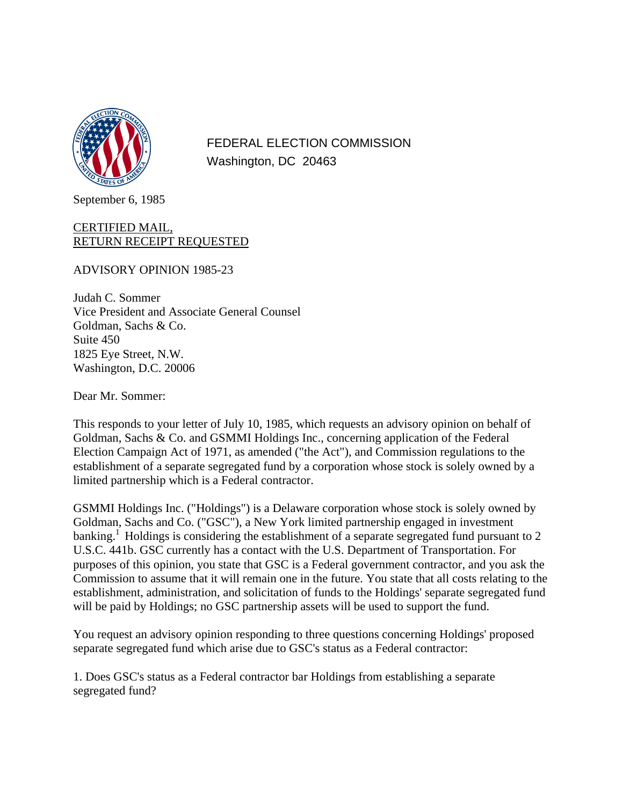

FEDERAL ELECTION COMMISSION Washington, DC 20463

September 6, 1985

## CERTIFIED MAIL, RETURN RECEIPT REQUESTED

ADVISORY OPINION 1985-23

Judah C. Sommer Vice President and Associate General Counsel Goldman, Sachs & Co. Suite 450 1825 Eye Street, N.W. Washington, D.C. 20006

Dear Mr. Sommer:

This responds to your letter of July 10, 1985, which requests an advisory opinion on behalf of Goldman, Sachs & Co. and GSMMI Holdings Inc., concerning application of the Federal Election Campaign Act of 1971, as amended ("the Act"), and Commission regulations to the establishment of a separate segregated fund by a corporation whose stock is solely owned by a limited partnership which is a Federal contractor.

GSMMI Holdings Inc. ("Holdings") is a Delaware corporation whose stock is solely owned by Goldman, Sachs and Co. ("GSC"), a New York limited partnership engaged in investment  $\alpha$  banking.<sup>1</sup> Holdings is considering the establishment of a separate segregated fund pursuant to 2 U.S.C. 441b. GSC currently has a contact with the U.S. Department of Transportation. For purposes of this opinion, you state that GSC is a Federal government contractor, and you ask the Commission to assume that it will remain one in the future. You state that all costs relating to the establishment, administration, and solicitation of funds to the Holdings' separate segregated fund will be paid by Holdings; no GSC partnership assets will be used to support the fund.

You request an advisory opinion responding to three questions concerning Holdings' proposed separate segregated fund which arise due to GSC's status as a Federal contractor:

1. Does GSC's status as a Federal contractor bar Holdings from establishing a separate segregated fund?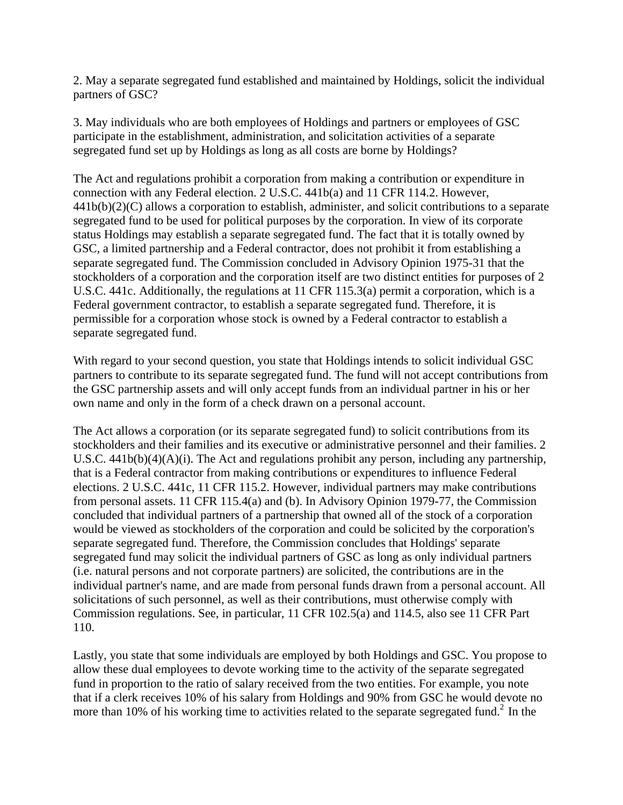2. May a separate segregated fund established and maintained by Holdings, solicit the individual partners of GSC?

3. May individuals who are both employees of Holdings and partners or employees of GSC participate in the establishment, administration, and solicitation activities of a separate segregated fund set up by Holdings as long as all costs are borne by Holdings?

The Act and regulations prohibit a corporation from making a contribution or expenditure in connection with any Federal election. 2 U.S.C. 441b(a) and 11 CFR 114.2. However,  $441b(b)(2)(C)$  allows a corporation to establish, administer, and solicit contributions to a separate segregated fund to be used for political purposes by the corporation. In view of its corporate status Holdings may establish a separate segregated fund. The fact that it is totally owned by GSC, a limited partnership and a Federal contractor, does not prohibit it from establishing a separate segregated fund. The Commission concluded in Advisory Opinion 1975-31 that the stockholders of a corporation and the corporation itself are two distinct entities for purposes of 2 U.S.C. 441c. Additionally, the regulations at 11 CFR 115.3(a) permit a corporation, which is a Federal government contractor, to establish a separate segregated fund. Therefore, it is permissible for a corporation whose stock is owned by a Federal contractor to establish a separate segregated fund.

With regard to your second question, you state that Holdings intends to solicit individual GSC partners to contribute to its separate segregated fund. The fund will not accept contributions from the GSC partnership assets and will only accept funds from an individual partner in his or her own name and only in the form of a check drawn on a personal account.

The Act allows a corporation (or its separate segregated fund) to solicit contributions from its stockholders and their families and its executive or administrative personnel and their families. 2 U.S.C. 441b(b)(4)(A)(i). The Act and regulations prohibit any person, including any partnership, that is a Federal contractor from making contributions or expenditures to influence Federal elections. 2 U.S.C. 441c, 11 CFR 115.2. However, individual partners may make contributions from personal assets. 11 CFR 115.4(a) and (b). In Advisory Opinion 1979-77, the Commission concluded that individual partners of a partnership that owned all of the stock of a corporation would be viewed as stockholders of the corporation and could be solicited by the corporation's separate segregated fund. Therefore, the Commission concludes that Holdings' separate segregated fund may solicit the individual partners of GSC as long as only individual partners (i.e. natural persons and not corporate partners) are solicited, the contributions are in the individual partner's name, and are made from personal funds drawn from a personal account. All solicitations of such personnel, as well as their contributions, must otherwise comply with Commission regulations. See, in particular, 11 CFR 102.5(a) and 114.5, also see 11 CFR Part 110.

Lastly, you state that some individuals are employed by both Holdings and GSC. You propose to allow these dual employees to devote working time to the activity of the separate segregated fund in proportion to the ratio of salary received from the two entities. For example, you note that if a clerk receives 10% of his salary from Holdings and 90% from GSC he would devote no more than 10% of his working time to activities related to the separate segregated fund.<sup>2</sup> In the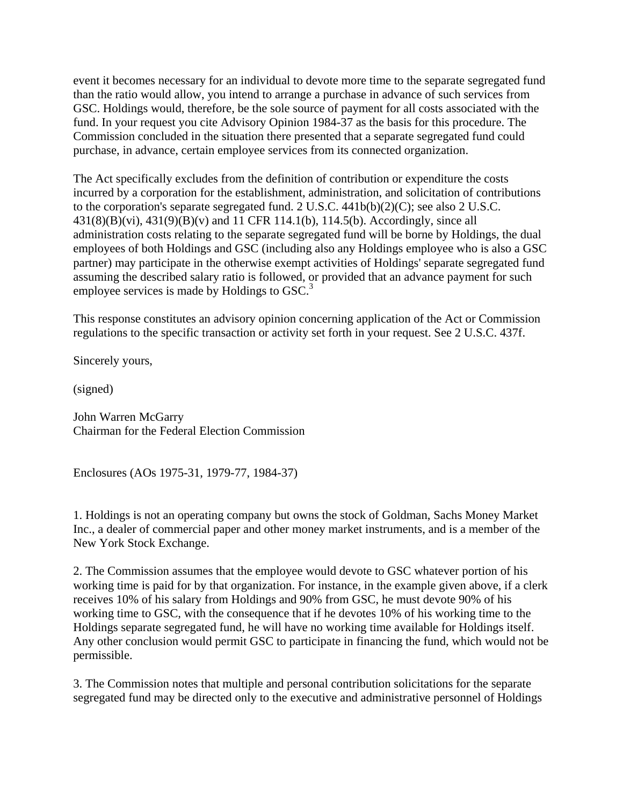event it becomes necessary for an individual to devote more time to the separate segregated fund than the ratio would allow, you intend to arrange a purchase in advance of such services from GSC. Holdings would, therefore, be the sole source of payment for all costs associated with the fund. In your request you cite Advisory Opinion 1984-37 as the basis for this procedure. The Commission concluded in the situation there presented that a separate segregated fund could purchase, in advance, certain employee services from its connected organization.

The Act specifically excludes from the definition of contribution or expenditure the costs incurred by a corporation for the establishment, administration, and solicitation of contributions to the corporation's separate segregated fund. 2 U.S.C. 441b(b)(2)(C); see also 2 U.S.C.  $431(8)(B)(vi)$ ,  $431(9)(B)(v)$  and 11 CFR 114.1(b), 114.5(b). Accordingly, since all administration costs relating to the separate segregated fund will be borne by Holdings, the dual employees of both Holdings and GSC (including also any Holdings employee who is also a GSC partner) may participate in the otherwise exempt activities of Holdings' separate segregated fund assuming the described salary ratio is followed, or provided that an advance payment for such employee services is made by Holdings to GSC.<sup>3</sup>

This response constitutes an advisory opinion concerning application of the Act or Commission regulations to the specific transaction or activity set forth in your request. See 2 U.S.C. 437f.

Sincerely yours,

(signed)

John Warren McGarry Chairman for the Federal Election Commission

Enclosures (AOs 1975-31, 1979-77, 1984-37)

1. Holdings is not an operating company but owns the stock of Goldman, Sachs Money Market Inc., a dealer of commercial paper and other money market instruments, and is a member of the New York Stock Exchange.

2. The Commission assumes that the employee would devote to GSC whatever portion of his working time is paid for by that organization. For instance, in the example given above, if a clerk receives 10% of his salary from Holdings and 90% from GSC, he must devote 90% of his working time to GSC, with the consequence that if he devotes 10% of his working time to the Holdings separate segregated fund, he will have no working time available for Holdings itself. Any other conclusion would permit GSC to participate in financing the fund, which would not be permissible.

3. The Commission notes that multiple and personal contribution solicitations for the separate segregated fund may be directed only to the executive and administrative personnel of Holdings